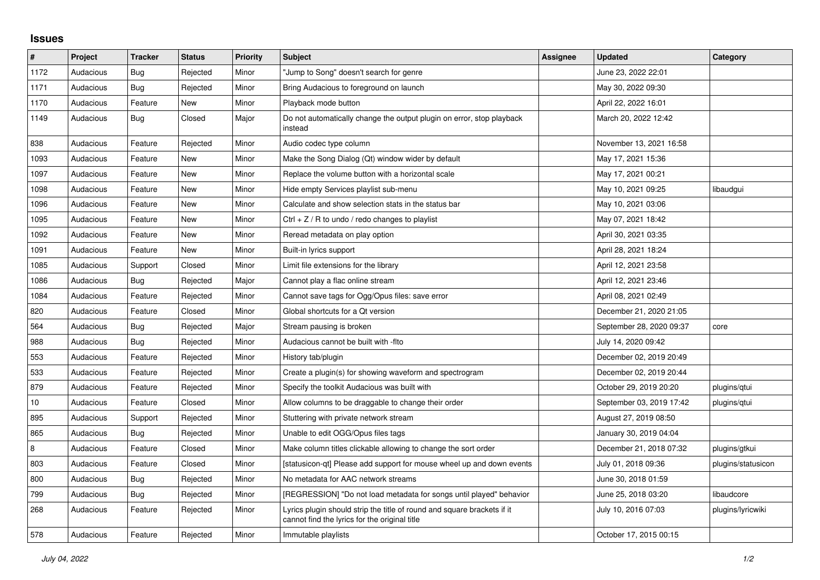## **Issues**

| $\pmb{\#}$ | Project   | <b>Tracker</b> | <b>Status</b> | <b>Priority</b> | <b>Subject</b>                                                                                                           | Assignee | <b>Updated</b>           | Category           |
|------------|-----------|----------------|---------------|-----------------|--------------------------------------------------------------------------------------------------------------------------|----------|--------------------------|--------------------|
| 1172       | Audacious | Bug            | Rejected      | Minor           | Jump to Song" doesn't search for genre                                                                                   |          | June 23, 2022 22:01      |                    |
| 1171       | Audacious | <b>Bug</b>     | Rejected      | Minor           | Bring Audacious to foreground on launch                                                                                  |          | May 30, 2022 09:30       |                    |
| 1170       | Audacious | Feature        | <b>New</b>    | Minor           | Playback mode button                                                                                                     |          | April 22, 2022 16:01     |                    |
| 1149       | Audacious | Bug            | Closed        | Major           | Do not automatically change the output plugin on error, stop playback<br>instead                                         |          | March 20, 2022 12:42     |                    |
| 838        | Audacious | Feature        | Rejected      | Minor           | Audio codec type column                                                                                                  |          | November 13, 2021 16:58  |                    |
| 1093       | Audacious | Feature        | <b>New</b>    | Minor           | Make the Song Dialog (Qt) window wider by default                                                                        |          | May 17, 2021 15:36       |                    |
| 1097       | Audacious | Feature        | New           | Minor           | Replace the volume button with a horizontal scale                                                                        |          | May 17, 2021 00:21       |                    |
| 1098       | Audacious | Feature        | <b>New</b>    | Minor           | Hide empty Services playlist sub-menu                                                                                    |          | May 10, 2021 09:25       | libaudgui          |
| 1096       | Audacious | Feature        | <b>New</b>    | Minor           | Calculate and show selection stats in the status bar                                                                     |          | May 10, 2021 03:06       |                    |
| 1095       | Audacious | Feature        | New           | Minor           | Ctrl $+$ Z / R to undo / redo changes to playlist                                                                        |          | May 07, 2021 18:42       |                    |
| 1092       | Audacious | Feature        | <b>New</b>    | Minor           | Reread metadata on play option                                                                                           |          | April 30, 2021 03:35     |                    |
| 1091       | Audacious | Feature        | <b>New</b>    | Minor           | Built-in lyrics support                                                                                                  |          | April 28, 2021 18:24     |                    |
| 1085       | Audacious | Support        | Closed        | Minor           | Limit file extensions for the library                                                                                    |          | April 12, 2021 23:58     |                    |
| 1086       | Audacious | Bug            | Rejected      | Major           | Cannot play a flac online stream                                                                                         |          | April 12, 2021 23:46     |                    |
| 1084       | Audacious | Feature        | Rejected      | Minor           | Cannot save tags for Ogg/Opus files: save error                                                                          |          | April 08, 2021 02:49     |                    |
| 820        | Audacious | Feature        | Closed        | Minor           | Global shortcuts for a Qt version                                                                                        |          | December 21, 2020 21:05  |                    |
| 564        | Audacious | Bug            | Rejected      | Major           | Stream pausing is broken                                                                                                 |          | September 28, 2020 09:37 | core               |
| 988        | Audacious | Bug            | Rejected      | Minor           | Audacious cannot be built with -fito                                                                                     |          | July 14, 2020 09:42      |                    |
| 553        | Audacious | Feature        | Rejected      | Minor           | History tab/plugin                                                                                                       |          | December 02, 2019 20:49  |                    |
| 533        | Audacious | Feature        | Rejected      | Minor           | Create a plugin(s) for showing waveform and spectrogram                                                                  |          | December 02, 2019 20:44  |                    |
| 879        | Audacious | Feature        | Rejected      | Minor           | Specify the toolkit Audacious was built with                                                                             |          | October 29, 2019 20:20   | plugins/qtui       |
| $10\,$     | Audacious | Feature        | Closed        | Minor           | Allow columns to be draggable to change their order                                                                      |          | September 03, 2019 17:42 | plugins/qtui       |
| 895        | Audacious | Support        | Rejected      | Minor           | Stuttering with private network stream                                                                                   |          | August 27, 2019 08:50    |                    |
| 865        | Audacious | <b>Bug</b>     | Rejected      | Minor           | Unable to edit OGG/Opus files tags                                                                                       |          | January 30, 2019 04:04   |                    |
| 8          | Audacious | Feature        | Closed        | Minor           | Make column titles clickable allowing to change the sort order                                                           |          | December 21, 2018 07:32  | plugins/gtkui      |
| 803        | Audacious | Feature        | Closed        | Minor           | [statusicon-qt] Please add support for mouse wheel up and down events                                                    |          | July 01, 2018 09:36      | plugins/statusicon |
| 800        | Audacious | <b>Bug</b>     | Rejected      | Minor           | No metadata for AAC network streams                                                                                      |          | June 30, 2018 01:59      |                    |
| 799        | Audacious | <b>Bug</b>     | Rejected      | Minor           | [REGRESSION] "Do not load metadata for songs until played" behavior                                                      |          | June 25, 2018 03:20      | libaudcore         |
| 268        | Audacious | Feature        | Rejected      | Minor           | Lyrics plugin should strip the title of round and square brackets if it<br>cannot find the lyrics for the original title |          | July 10, 2016 07:03      | plugins/lyricwiki  |
| 578        | Audacious | Feature        | Rejected      | Minor           | Immutable playlists                                                                                                      |          | October 17, 2015 00:15   |                    |